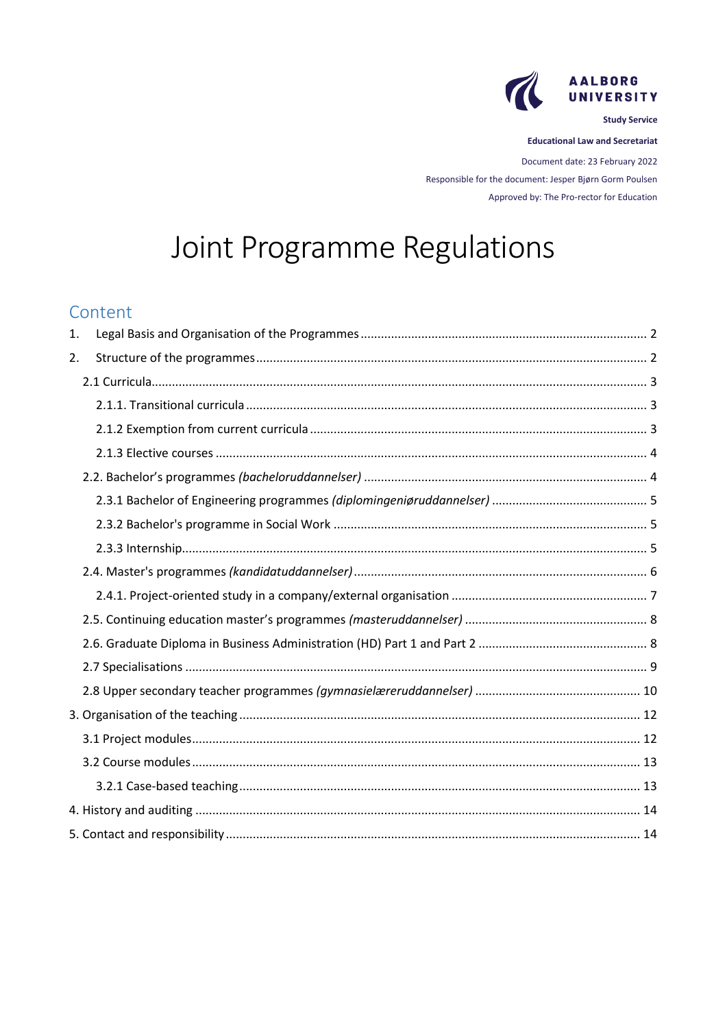

**Study Service** 

**Educational Law and Secretariat** 

Document date: 23 February 2022 Responsible for the document: Jesper Bjørn Gorm Poulsen Approved by: The Pro-rector for Education

# Joint Programme Regulations

# Content

| 1. |  |
|----|--|
| 2. |  |
|    |  |
|    |  |
|    |  |
|    |  |
|    |  |
|    |  |
|    |  |
|    |  |
|    |  |
|    |  |
|    |  |
|    |  |
|    |  |
|    |  |
|    |  |
|    |  |
|    |  |
|    |  |
|    |  |
|    |  |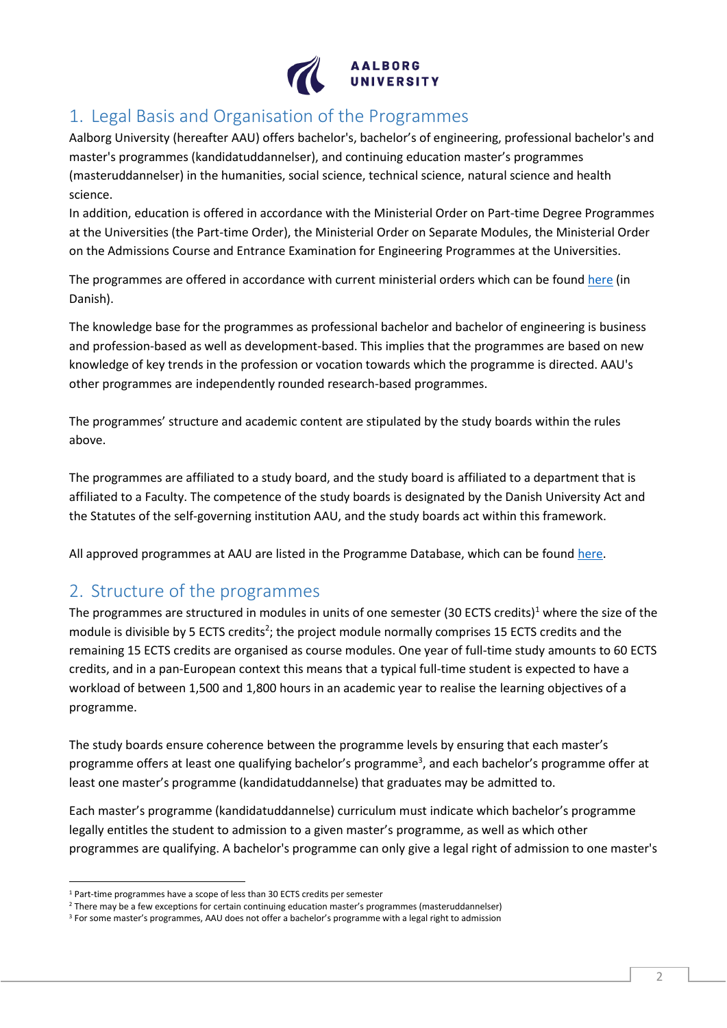

# <span id="page-1-0"></span>1. Legal Basis and Organisation of the Programmes

Aalborg University (hereafter AAU) offers bachelor's, bachelor's of engineering, professional bachelor's and master's programmes (kandidatuddannelser), and continuing education master's programmes (masteruddannelser) in the humanities, social science, technical science, natural science and health science.

In addition, education is offered in accordance with the Ministerial Order on Part-time Degree Programmes at the Universities (the Part-time Order), the Ministerial Order on Separate Modules, the Ministerial Order on the Admissions Course and Entrance Examination for Engineering Programmes at the Universities.

The programmes are offered in accordance with current ministerial orders which can be found [here](https://www.aau.dk/uddannelser/efteruddannelse/oekonomi-regler/bekendtgoerelser-love/) (in Danish).

The knowledge base for the programmes as professional bachelor and bachelor of engineering is business and profession-based as well as development-based. This implies that the programmes are based on new knowledge of key trends in the profession or vocation towards which the programme is directed. AAU's other programmes are independently rounded research-based programmes.

The programmes' structure and academic content are stipulated by the study boards within the rules above.

The programmes are affiliated to a study board, and the study board is affiliated to a department that is affiliated to a Faculty. The competence of the study boards is designated by the Danish University Act and the Statutes of the self-governing institution AAU, and the study boards act within this framework.

<span id="page-1-1"></span>All approved programmes at AAU are listed in the Programme Database, which can be found [here.](http://www.uddannelsesbasen.aau.dk/)

# 2. Structure of the programmes

The programmes are structured in modules in units of one semester (30 ECTS credits)<sup>1</sup> where the size of the module is divisible by 5 ECTS credits<sup>2</sup>; the project module normally comprises 15 ECTS credits and the remaining 15 ECTS credits are organised as course modules. One year of full-time study amounts to 60 ECTS credits, and in a pan-European context this means that a typical full-time student is expected to have a workload of between 1,500 and 1,800 hours in an academic year to realise the learning objectives of a programme.

The study boards ensure coherence between the programme levels by ensuring that each master's programme offers at least one qualifying bachelor's programme<sup>3</sup>, and each bachelor's programme offer at least one master's programme (kandidatuddannelse) that graduates may be admitted to.

Each master's programme (kandidatuddannelse) curriculum must indicate which bachelor's programme legally entitles the student to admission to a given master's programme, as well as which other programmes are qualifying. A bachelor's programme can only give a legal right of admission to one master's

<sup>1</sup> Part-time programmes have a scope of less than 30 ECTS credits per semester

<sup>2</sup> There may be a few exceptions for certain continuing education master's programmes (masteruddannelser)

<sup>&</sup>lt;sup>3</sup> For some master's programmes, AAU does not offer a bachelor's programme with a legal right to admission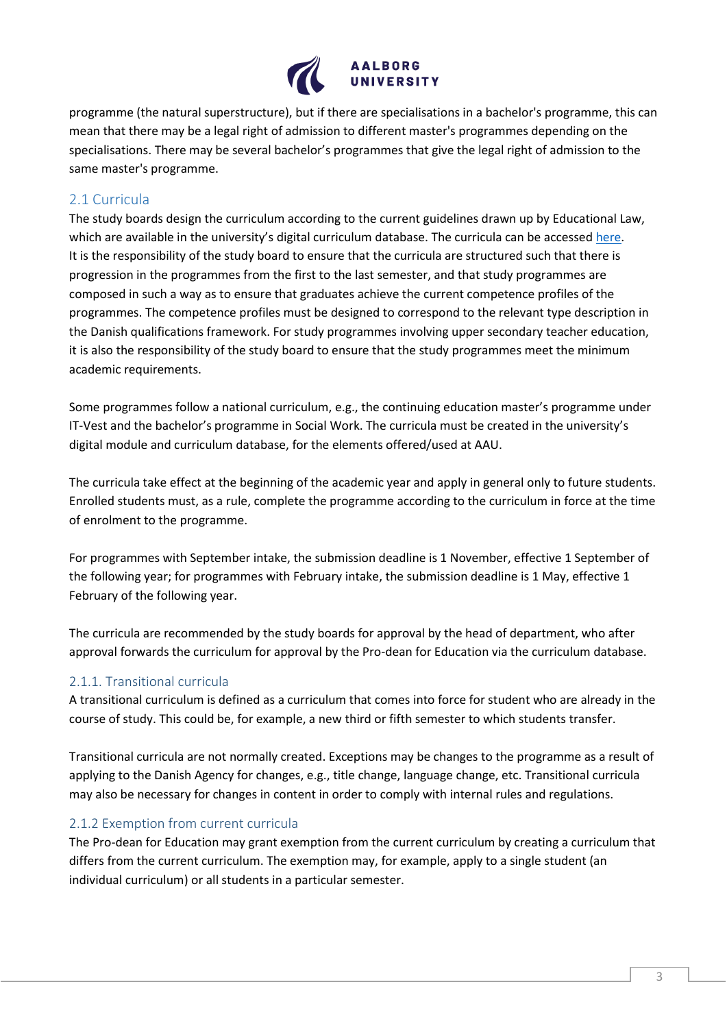

programme (the natural superstructure), but if there are specialisations in a bachelor's programme, this can mean that there may be a legal right of admission to different master's programmes depending on the specialisations. There may be several bachelor's programmes that give the legal right of admission to the same master's programme.

## <span id="page-2-0"></span>2.1 Curricula

The study boards design the curriculum according to the current guidelines drawn up by Educational Law, which are available in the university's digital curriculum database. The curricula can be accessed [here.](https://studieordninger.aau.dk/) It is the responsibility of the study board to ensure that the curricula are structured such that there is progression in the programmes from the first to the last semester, and that study programmes are composed in such a way as to ensure that graduates achieve the current competence profiles of the programmes. The competence profiles must be designed to correspond to the relevant type description in the Danish qualifications framework. For study programmes involving upper secondary teacher education, it is also the responsibility of the study board to ensure that the study programmes meet the minimum academic requirements.

Some programmes follow a national curriculum, e.g., the continuing education master's programme under IT-Vest and the bachelor's programme in Social Work. The curricula must be created in the university's digital module and curriculum database, for the elements offered/used at AAU.

The curricula take effect at the beginning of the academic year and apply in general only to future students. Enrolled students must, as a rule, complete the programme according to the curriculum in force at the time of enrolment to the programme.

For programmes with September intake, the submission deadline is 1 November, effective 1 September of the following year; for programmes with February intake, the submission deadline is 1 May, effective 1 February of the following year.

The curricula are recommended by the study boards for approval by the head of department, who after approval forwards the curriculum for approval by the Pro-dean for Education via the curriculum database.

## <span id="page-2-1"></span>2.1.1. Transitional curricula

A transitional curriculum is defined as a curriculum that comes into force for student who are already in the course of study. This could be, for example, a new third or fifth semester to which students transfer.

Transitional curricula are not normally created. Exceptions may be changes to the programme as a result of applying to the Danish Agency for changes, e.g., title change, language change, etc. Transitional curricula may also be necessary for changes in content in order to comply with internal rules and regulations.

## <span id="page-2-2"></span>2.1.2 Exemption from current curricula

The Pro-dean for Education may grant exemption from the current curriculum by creating a curriculum that differs from the current curriculum. The exemption may, for example, apply to a single student (an individual curriculum) or all students in a particular semester.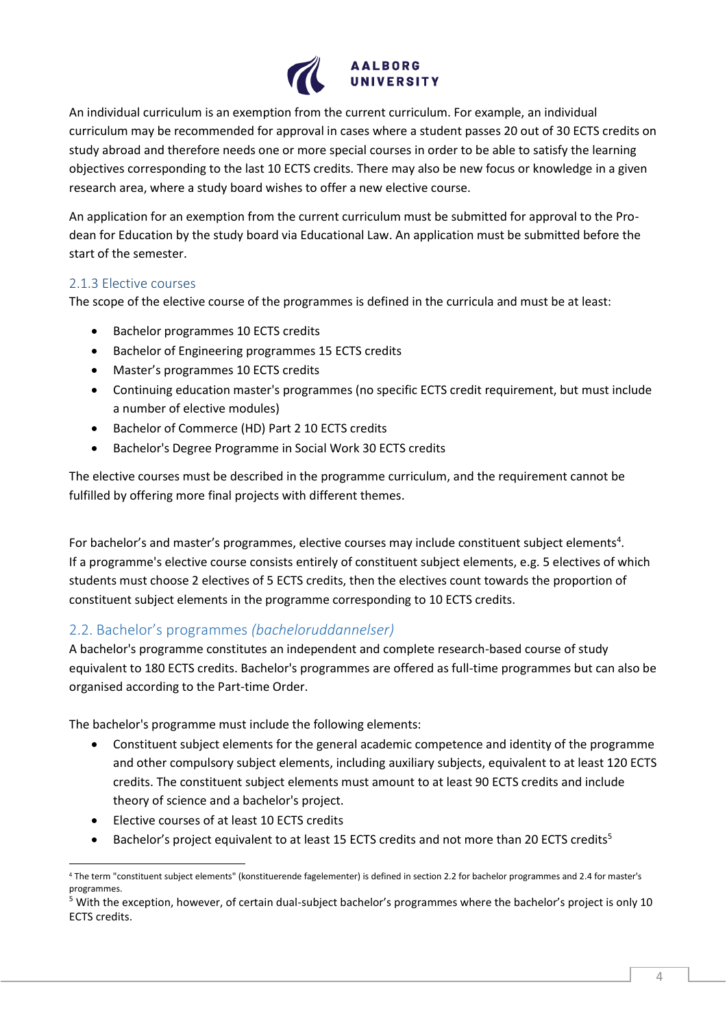

An individual curriculum is an exemption from the current curriculum. For example, an individual curriculum may be recommended for approval in cases where a student passes 20 out of 30 ECTS credits on study abroad and therefore needs one or more special courses in order to be able to satisfy the learning objectives corresponding to the last 10 ECTS credits. There may also be new focus or knowledge in a given research area, where a study board wishes to offer a new elective course.

An application for an exemption from the current curriculum must be submitted for approval to the Prodean for Education by the study board via Educational Law. An application must be submitted before the start of the semester.

#### <span id="page-3-0"></span>2.1.3 Elective courses

The scope of the elective course of the programmes is defined in the curricula and must be at least:

- Bachelor programmes 10 ECTS credits
- Bachelor of Engineering programmes 15 ECTS credits
- Master's programmes 10 ECTS credits
- Continuing education master's programmes (no specific ECTS credit requirement, but must include a number of elective modules)
- Bachelor of Commerce (HD) Part 2 10 ECTS credits
- Bachelor's Degree Programme in Social Work 30 ECTS credits

The elective courses must be described in the programme curriculum, and the requirement cannot be fulfilled by offering more final projects with different themes.

For bachelor's and master's programmes, elective courses may include constituent subject elements<sup>4</sup>. If a programme's elective course consists entirely of constituent subject elements, e.g. 5 electives of which students must choose 2 electives of 5 ECTS credits, then the electives count towards the proportion of constituent subject elements in the programme corresponding to 10 ECTS credits.

# <span id="page-3-1"></span>2.2. Bachelor's programmes *(bacheloruddannelser)*

A bachelor's programme constitutes an independent and complete research-based course of study equivalent to 180 ECTS credits. Bachelor's programmes are offered as full-time programmes but can also be organised according to the Part-time Order.

The bachelor's programme must include the following elements:

- Constituent subject elements for the general academic competence and identity of the programme and other compulsory subject elements, including auxiliary subjects, equivalent to at least 120 ECTS credits. The constituent subject elements must amount to at least 90 ECTS credits and include theory of science and a bachelor's project.
- Elective courses of at least 10 ECTS credits
- Bachelor's project equivalent to at least 15 ECTS credits and not more than 20 ECTS credits<sup>5</sup>

<sup>4</sup> The term "constituent subject elements" (konstituerende fagelementer) is defined in section 2.2 for bachelor programmes and 2.4 for master's programmes.

 $5$  With the exception, however, of certain dual-subject bachelor's programmes where the bachelor's project is only 10 ECTS credits.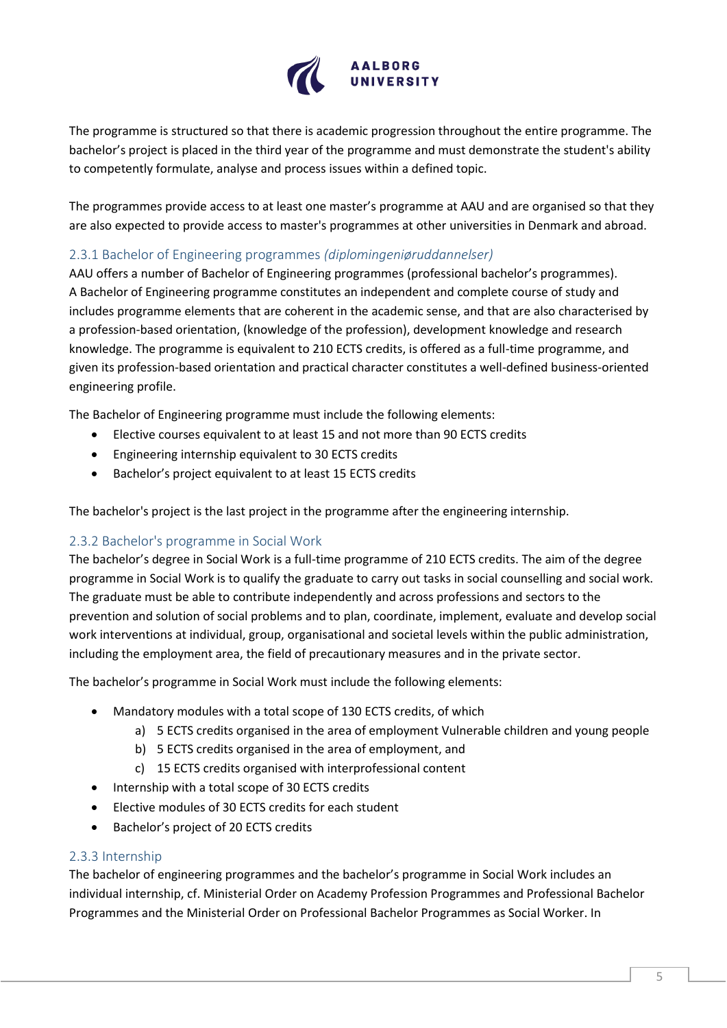

The programme is structured so that there is academic progression throughout the entire programme. The bachelor's project is placed in the third year of the programme and must demonstrate the student's ability to competently formulate, analyse and process issues within a defined topic.

The programmes provide access to at least one master's programme at AAU and are organised so that they are also expected to provide access to master's programmes at other universities in Denmark and abroad.

## <span id="page-4-0"></span>2.3.1 Bachelor of Engineering programmes *(diplomingeniøruddannelser)*

AAU offers a number of Bachelor of Engineering programmes (professional bachelor's programmes). A Bachelor of Engineering programme constitutes an independent and complete course of study and includes programme elements that are coherent in the academic sense, and that are also characterised by a profession-based orientation, (knowledge of the profession), development knowledge and research knowledge. The programme is equivalent to 210 ECTS credits, is offered as a full-time programme, and given its profession-based orientation and practical character constitutes a well-defined business-oriented engineering profile.

The Bachelor of Engineering programme must include the following elements:

- Elective courses equivalent to at least 15 and not more than 90 ECTS credits
- Engineering internship equivalent to 30 ECTS credits
- Bachelor's project equivalent to at least 15 ECTS credits

The bachelor's project is the last project in the programme after the engineering internship.

#### <span id="page-4-1"></span>2.3.2 Bachelor's programme in Social Work

The bachelor's degree in Social Work is a full-time programme of 210 ECTS credits. The aim of the degree programme in Social Work is to qualify the graduate to carry out tasks in social counselling and social work. The graduate must be able to contribute independently and across professions and sectors to the prevention and solution of social problems and to plan, coordinate, implement, evaluate and develop social work interventions at individual, group, organisational and societal levels within the public administration, including the employment area, the field of precautionary measures and in the private sector.

The bachelor's programme in Social Work must include the following elements:

- Mandatory modules with a total scope of 130 ECTS credits, of which
	- a) 5 ECTS credits organised in the area of employment Vulnerable children and young people
	- b) 5 ECTS credits organised in the area of employment, and
	- c) 15 ECTS credits organised with interprofessional content
- Internship with a total scope of 30 ECTS credits
- Elective modules of 30 ECTS credits for each student
- Bachelor's project of 20 ECTS credits

#### <span id="page-4-2"></span>2.3.3 Internship

The bachelor of engineering programmes and the bachelor's programme in Social Work includes an individual internship, cf. Ministerial Order on Academy Profession Programmes and Professional Bachelor Programmes and the Ministerial Order on Professional Bachelor Programmes as Social Worker. In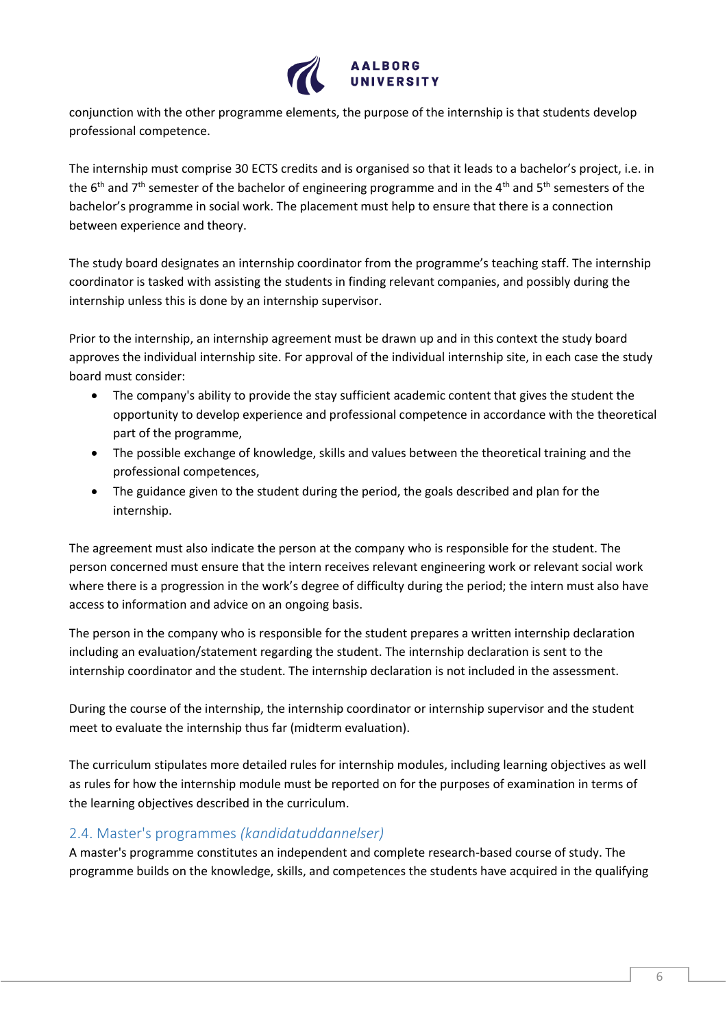

conjunction with the other programme elements, the purpose of the internship is that students develop professional competence.

The internship must comprise 30 ECTS credits and is organised so that it leads to a bachelor's project, i.e. in the 6<sup>th</sup> and 7<sup>th</sup> semester of the bachelor of engineering programme and in the 4<sup>th</sup> and 5<sup>th</sup> semesters of the bachelor's programme in social work. The placement must help to ensure that there is a connection between experience and theory.

The study board designates an internship coordinator from the programme's teaching staff. The internship coordinator is tasked with assisting the students in finding relevant companies, and possibly during the internship unless this is done by an internship supervisor.

Prior to the internship, an internship agreement must be drawn up and in this context the study board approves the individual internship site. For approval of the individual internship site, in each case the study board must consider:

- The company's ability to provide the stay sufficient academic content that gives the student the opportunity to develop experience and professional competence in accordance with the theoretical part of the programme,
- The possible exchange of knowledge, skills and values between the theoretical training and the professional competences,
- The guidance given to the student during the period, the goals described and plan for the internship.

The agreement must also indicate the person at the company who is responsible for the student. The person concerned must ensure that the intern receives relevant engineering work or relevant social work where there is a progression in the work's degree of difficulty during the period; the intern must also have access to information and advice on an ongoing basis.

The person in the company who is responsible for the student prepares a written internship declaration including an evaluation/statement regarding the student. The internship declaration is sent to the internship coordinator and the student. The internship declaration is not included in the assessment.

During the course of the internship, the internship coordinator or internship supervisor and the student meet to evaluate the internship thus far (midterm evaluation).

The curriculum stipulates more detailed rules for internship modules, including learning objectives as well as rules for how the internship module must be reported on for the purposes of examination in terms of the learning objectives described in the curriculum.

# <span id="page-5-0"></span>2.4. Master's programmes *(kandidatuddannelser)*

A master's programme constitutes an independent and complete research-based course of study. The programme builds on the knowledge, skills, and competences the students have acquired in the qualifying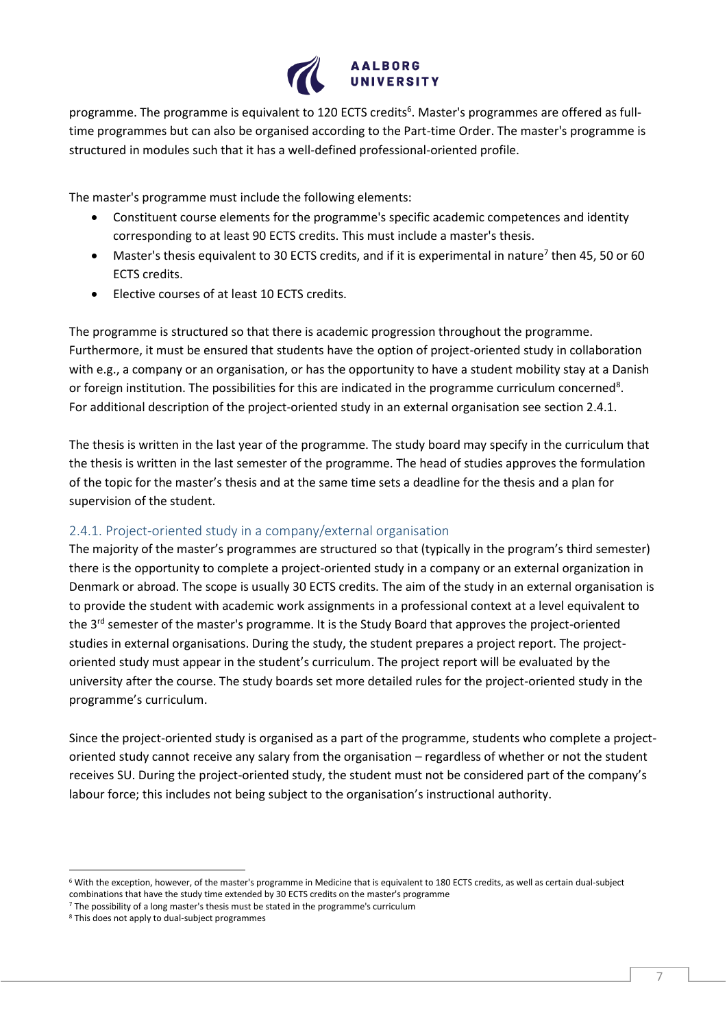

programme. The programme is equivalent to 120 ECTS credits<sup>6</sup>. Master's programmes are offered as fulltime programmes but can also be organised according to the Part-time Order. The master's programme is structured in modules such that it has a well-defined professional-oriented profile.

The master's programme must include the following elements:

- Constituent course elements for the programme's specific academic competences and identity corresponding to at least 90 ECTS credits. This must include a master's thesis.
- Master's thesis equivalent to 30 ECTS credits, and if it is experimental in nature<sup>7</sup> then 45, 50 or 60 ECTS credits.
- Elective courses of at least 10 ECTS credits.

The programme is structured so that there is academic progression throughout the programme. Furthermore, it must be ensured that students have the option of project-oriented study in collaboration with e.g., a company or an organisation, or has the opportunity to have a student mobility stay at a Danish or foreign institution. The possibilities for this are indicated in the programme curriculum concerned<sup>8</sup>. For additional description of the project-oriented study in an external organisation see section 2.4.1.

The thesis is written in the last year of the programme. The study board may specify in the curriculum that the thesis is written in the last semester of the programme. The head of studies approves the formulation of the topic for the master's thesis and at the same time sets a deadline for the thesis and a plan for supervision of the student.

#### <span id="page-6-0"></span>2.4.1. Project-oriented study in a company/external organisation

The majority of the master's programmes are structured so that (typically in the program's third semester) there is the opportunity to complete a project-oriented study in a company or an external organization in Denmark or abroad. The scope is usually 30 ECTS credits. The aim of the study in an external organisation is to provide the student with academic work assignments in a professional context at a level equivalent to the 3<sup>rd</sup> semester of the master's programme. It is the Study Board that approves the project-oriented studies in external organisations. During the study, the student prepares a project report. The projectoriented study must appear in the student's curriculum. The project report will be evaluated by the university after the course. The study boards set more detailed rules for the project-oriented study in the programme's curriculum.

Since the project-oriented study is organised as a part of the programme, students who complete a projectoriented study cannot receive any salary from the organisation – regardless of whether or not the student receives SU. During the project-oriented study, the student must not be considered part of the company's labour force; this includes not being subject to the organisation's instructional authority.

<sup>6</sup> With the exception, however, of the master's programme in Medicine that is equivalent to 180 ECTS credits, as well as certain dual-subject combinations that have the study time extended by 30 ECTS credits on the master's programme

<sup>7</sup> The possibility of a long master's thesis must be stated in the programme's curriculum

<sup>8</sup> This does not apply to dual-subject programmes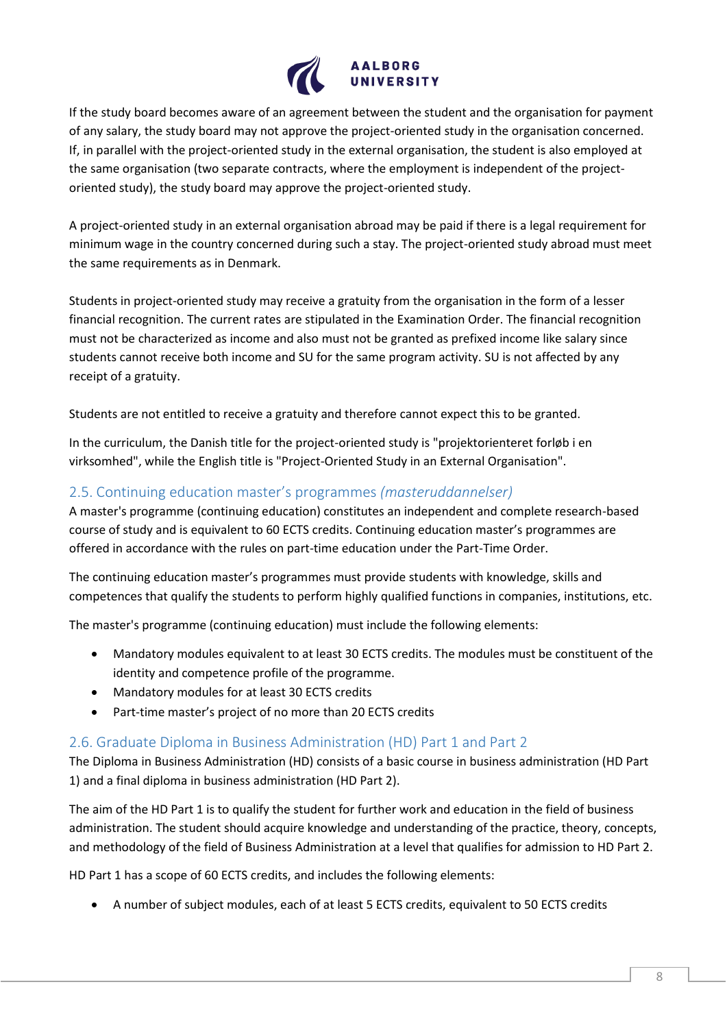

If the study board becomes aware of an agreement between the student and the organisation for payment of any salary, the study board may not approve the project-oriented study in the organisation concerned. If, in parallel with the project-oriented study in the external organisation, the student is also employed at the same organisation (two separate contracts, where the employment is independent of the projectoriented study), the study board may approve the project-oriented study.

A project-oriented study in an external organisation abroad may be paid if there is a legal requirement for minimum wage in the country concerned during such a stay. The project-oriented study abroad must meet the same requirements as in Denmark.

Students in project-oriented study may receive a gratuity from the organisation in the form of a lesser financial recognition. The current rates are stipulated in the Examination Order. The financial recognition must not be characterized as income and also must not be granted as prefixed income like salary since students cannot receive both income and SU for the same program activity. SU is not affected by any receipt of a gratuity.

Students are not entitled to receive a gratuity and therefore cannot expect this to be granted.

In the curriculum, the Danish title for the project-oriented study is "projektorienteret forløb i en virksomhed", while the English title is "Project-Oriented Study in an External Organisation".

# <span id="page-7-0"></span>2.5. Continuing education master's programmes *(masteruddannelser)*

A master's programme (continuing education) constitutes an independent and complete research-based course of study and is equivalent to 60 ECTS credits. Continuing education master's programmes are offered in accordance with the rules on part-time education under the Part-Time Order.

The continuing education master's programmes must provide students with knowledge, skills and competences that qualify the students to perform highly qualified functions in companies, institutions, etc.

The master's programme (continuing education) must include the following elements:

- Mandatory modules equivalent to at least 30 ECTS credits. The modules must be constituent of the identity and competence profile of the programme.
- Mandatory modules for at least 30 ECTS credits
- Part-time master's project of no more than 20 ECTS credits

## <span id="page-7-1"></span>2.6. Graduate Diploma in Business Administration (HD) Part 1 and Part 2

The Diploma in Business Administration (HD) consists of a basic course in business administration (HD Part 1) and a final diploma in business administration (HD Part 2).

The aim of the HD Part 1 is to qualify the student for further work and education in the field of business administration. The student should acquire knowledge and understanding of the practice, theory, concepts, and methodology of the field of Business Administration at a level that qualifies for admission to HD Part 2.

HD Part 1 has a scope of 60 ECTS credits, and includes the following elements:

• A number of subject modules, each of at least 5 ECTS credits, equivalent to 50 ECTS credits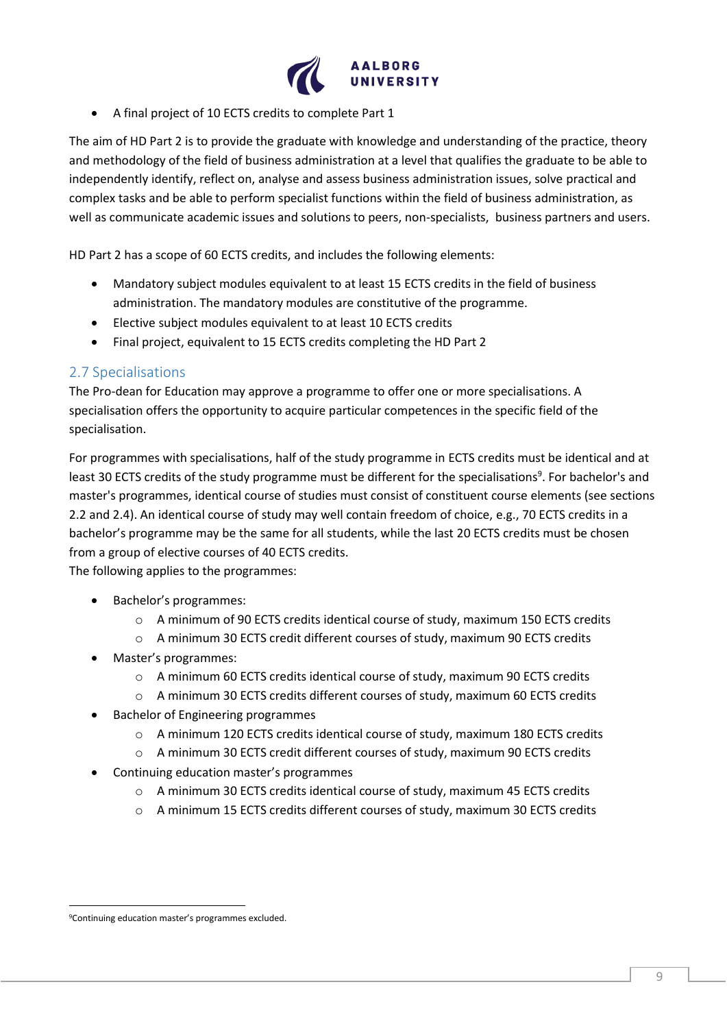

• A final project of 10 ECTS credits to complete Part 1

The aim of HD Part 2 is to provide the graduate with knowledge and understanding of the practice, theory and methodology of the field of business administration at a level that qualifies the graduate to be able to independently identify, reflect on, analyse and assess business administration issues, solve practical and complex tasks and be able to perform specialist functions within the field of business administration, as well as communicate academic issues and solutions to peers, non-specialists, business partners and users.

HD Part 2 has a scope of 60 ECTS credits, and includes the following elements:

- Mandatory subject modules equivalent to at least 15 ECTS credits in the field of business administration. The mandatory modules are constitutive of the programme.
- Elective subject modules equivalent to at least 10 ECTS credits
- Final project, equivalent to 15 ECTS credits completing the HD Part 2

#### <span id="page-8-0"></span>2.7 Specialisations

The Pro-dean for Education may approve a programme to offer one or more specialisations. A specialisation offers the opportunity to acquire particular competences in the specific field of the specialisation.

For programmes with specialisations, half of the study programme in ECTS credits must be identical and at least 30 ECTS credits of the study programme must be different for the specialisations<sup>9</sup>. For bachelor's and master's programmes, identical course of studies must consist of constituent course elements (see sections 2.2 and 2.4). An identical course of study may well contain freedom of choice, e.g., 70 ECTS credits in a bachelor's programme may be the same for all students, while the last 20 ECTS credits must be chosen from a group of elective courses of 40 ECTS credits.

The following applies to the programmes:

- Bachelor's programmes:
	- $\circ$  A minimum of 90 ECTS credits identical course of study, maximum 150 ECTS credits
	- o A minimum 30 ECTS credit different courses of study, maximum 90 ECTS credits
- Master's programmes:
	- o A minimum 60 ECTS credits identical course of study, maximum 90 ECTS credits
	- o A minimum 30 ECTS credits different courses of study, maximum 60 ECTS credits
- Bachelor of Engineering programmes
	- o A minimum 120 ECTS credits identical course of study, maximum 180 ECTS credits
	- o A minimum 30 ECTS credit different courses of study, maximum 90 ECTS credits
- Continuing education master's programmes
	- o A minimum 30 ECTS credits identical course of study, maximum 45 ECTS credits
	- o A minimum 15 ECTS credits different courses of study, maximum 30 ECTS credits

<sup>9</sup>Continuing education master's programmes excluded.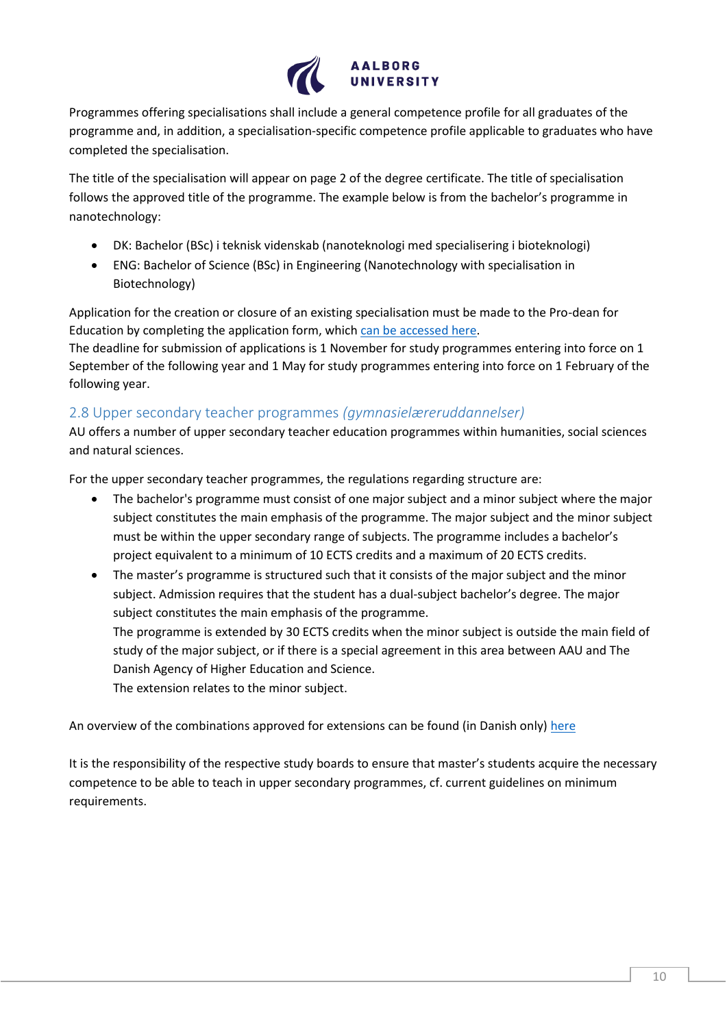

Programmes offering specialisations shall include a general competence profile for all graduates of the programme and, in addition, a specialisation-specific competence profile applicable to graduates who have completed the specialisation.

The title of the specialisation will appear on page 2 of the degree certificate. The title of specialisation follows the approved title of the programme. The example below is from the bachelor's programme in nanotechnology:

- DK: Bachelor (BSc) i teknisk videnskab (nanoteknologi med specialisering i bioteknologi)
- ENG: Bachelor of Science (BSc) in Engineering (Nanotechnology with specialisation in Biotechnology)

Application for the creation or closure of an existing specialisation must be made to the Pro-dean for Education by completing the application form, which [can be accessed here.](https://www.studieservice.aau.dk/regler-vejledninger/)

The deadline for submission of applications is 1 November for study programmes entering into force on 1 September of the following year and 1 May for study programmes entering into force on 1 February of the following year.

## <span id="page-9-0"></span>2.8 Upper secondary teacher programmes *(gymnasielæreruddannelser)*

AU offers a number of upper secondary teacher education programmes within humanities, social sciences and natural sciences.

For the upper secondary teacher programmes, the regulations regarding structure are:

- The bachelor's programme must consist of one major subject and a minor subject where the major subject constitutes the main emphasis of the programme. The major subject and the minor subject must be within the upper secondary range of subjects. The programme includes a bachelor's project equivalent to a minimum of 10 ECTS credits and a maximum of 20 ECTS credits.
- The master's programme is structured such that it consists of the major subject and the minor subject. Admission requires that the student has a dual-subject bachelor's degree. The major subject constitutes the main emphasis of the programme.

The programme is extended by 30 ECTS credits when the minor subject is outside the main field of study of the major subject, or if there is a special agreement in this area between AAU and The Danish Agency of Higher Education and Science.

The extension relates to the minor subject.

An overview of the combinations approved for extensions can be found (in Danish only) [here](https://www.aau.dk/uddannelser/bliv-gymnasielaerer/gymnasielaereruddannelser/)

It is the responsibility of the respective study boards to ensure that master's students acquire the necessary competence to be able to teach in upper secondary programmes, cf. current guidelines on minimum requirements.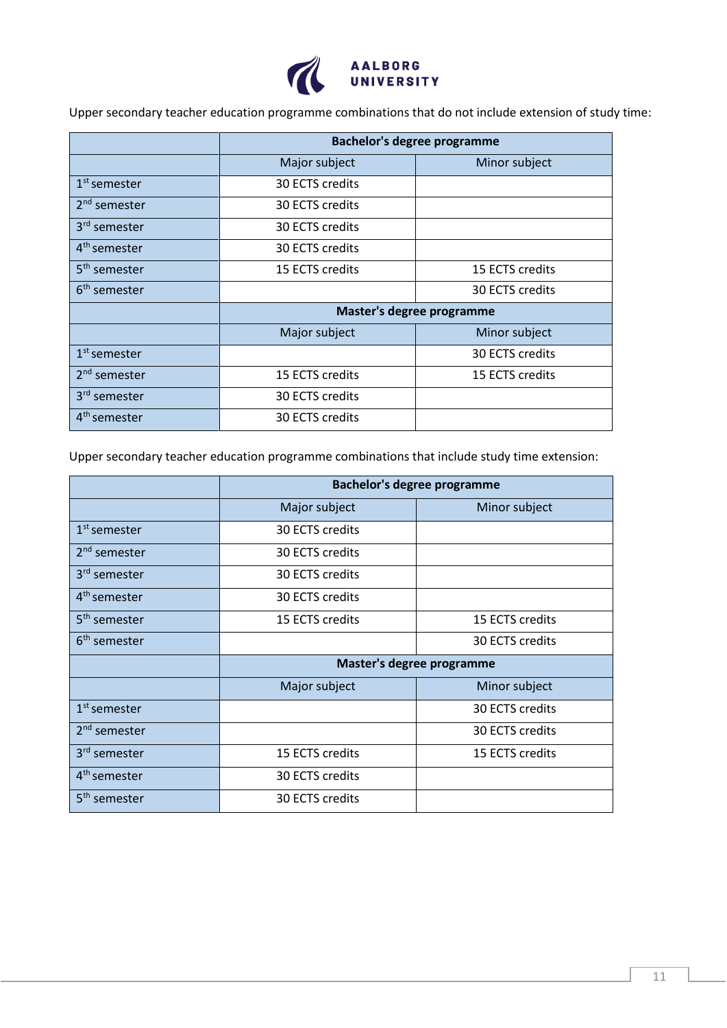

Upper secondary teacher education programme combinations that do not include extension of study time:

|                          | <b>Bachelor's degree programme</b> |                 |  |
|--------------------------|------------------------------------|-----------------|--|
|                          | Major subject                      | Minor subject   |  |
| $1st$ semester           | 30 ECTS credits                    |                 |  |
| 2 <sup>nd</sup> semester | 30 ECTS credits                    |                 |  |
| 3 <sup>rd</sup> semester | 30 ECTS credits                    |                 |  |
| 4 <sup>th</sup> semester | 30 ECTS credits                    |                 |  |
| 5 <sup>th</sup> semester | 15 ECTS credits                    | 15 ECTS credits |  |
| 6 <sup>th</sup> semester |                                    | 30 ECTS credits |  |
|                          | Master's degree programme          |                 |  |
|                          | Major subject                      | Minor subject   |  |
| $1st$ semester           |                                    | 30 ECTS credits |  |
| $2nd$ semester           | 15 ECTS credits                    | 15 ECTS credits |  |
| 3 <sup>rd</sup> semester | 30 ECTS credits                    |                 |  |
| 4 <sup>th</sup> semester | 30 ECTS credits                    |                 |  |

Upper secondary teacher education programme combinations that include study time extension:

|                          | <b>Bachelor's degree programme</b> |                 |  |
|--------------------------|------------------------------------|-----------------|--|
|                          | Major subject                      | Minor subject   |  |
| $1st$ semester           | 30 ECTS credits                    |                 |  |
| $2nd$ semester           | 30 ECTS credits                    |                 |  |
| 3 <sup>rd</sup> semester | 30 ECTS credits                    |                 |  |
| 4 <sup>th</sup> semester | 30 ECTS credits                    |                 |  |
| 5 <sup>th</sup> semester | 15 ECTS credits                    | 15 ECTS credits |  |
| 6 <sup>th</sup> semester |                                    | 30 ECTS credits |  |
|                          | Master's degree programme          |                 |  |
|                          | Major subject                      | Minor subject   |  |
| $1st$ semester           |                                    | 30 ECTS credits |  |
| $2nd$ semester           |                                    | 30 ECTS credits |  |
| 3 <sup>rd</sup> semester | 15 ECTS credits                    | 15 ECTS credits |  |
| 4 <sup>th</sup> semester | 30 ECTS credits                    |                 |  |
| 5 <sup>th</sup> semester | 30 ECTS credits                    |                 |  |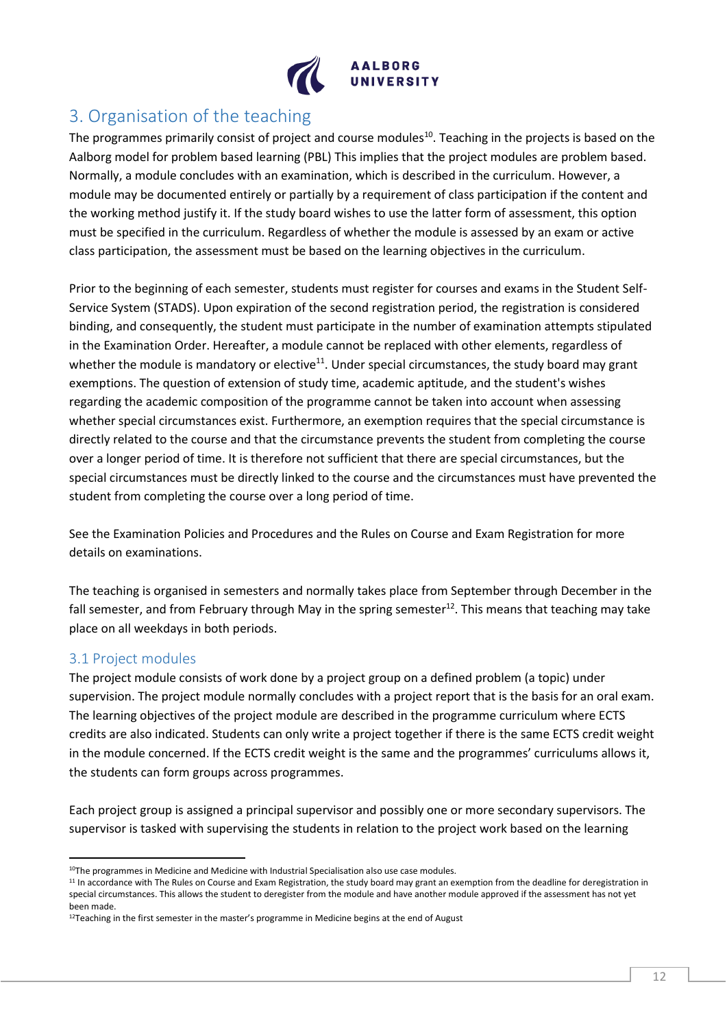

# <span id="page-11-0"></span>3. Organisation of the teaching

The programmes primarily consist of project and course modules<sup>10</sup>. Teaching in the projects is based on the Aalborg model for problem based learning (PBL) This implies that the project modules are problem based. Normally, a module concludes with an examination, which is described in the curriculum. However, a module may be documented entirely or partially by a requirement of class participation if the content and the working method justify it. If the study board wishes to use the latter form of assessment, this option must be specified in the curriculum. Regardless of whether the module is assessed by an exam or active class participation, the assessment must be based on the learning objectives in the curriculum.

Prior to the beginning of each semester, students must register for courses and exams in the Student Self-Service System (STADS). Upon expiration of the second registration period, the registration is considered binding, and consequently, the student must participate in the number of examination attempts stipulated in the Examination Order. Hereafter, a module cannot be replaced with other elements, regardless of whether the module is mandatory or elective $11$ . Under special circumstances, the study board may grant exemptions. The question of extension of study time, academic aptitude, and the student's wishes regarding the academic composition of the programme cannot be taken into account when assessing whether special circumstances exist. Furthermore, an exemption requires that the special circumstance is directly related to the course and that the circumstance prevents the student from completing the course over a longer period of time. It is therefore not sufficient that there are special circumstances, but the special circumstances must be directly linked to the course and the circumstances must have prevented the student from completing the course over a long period of time.

See the Examination Policies and Procedures and the Rules on Course and Exam Registration for more details on examinations.

The teaching is organised in semesters and normally takes place from September through December in the fall semester, and from February through May in the spring semester $12$ . This means that teaching may take place on all weekdays in both periods.

## <span id="page-11-1"></span>3.1 Project modules

The project module consists of work done by a project group on a defined problem (a topic) under supervision. The project module normally concludes with a project report that is the basis for an oral exam. The learning objectives of the project module are described in the programme curriculum where ECTS credits are also indicated. Students can only write a project together if there is the same ECTS credit weight in the module concerned. If the ECTS credit weight is the same and the programmes' curriculums allows it, the students can form groups across programmes.

Each project group is assigned a principal supervisor and possibly one or more secondary supervisors. The supervisor is tasked with supervising the students in relation to the project work based on the learning

 $10$ The programmes in Medicine and Medicine with Industrial Specialisation also use case modules.

<sup>&</sup>lt;sup>11</sup> In accordance with The Rules on Course and Exam Registration, the study board may grant an exemption from the deadline for deregistration in special circumstances. This allows the student to deregister from the module and have another module approved if the assessment has not yet been made.

 $12$ Teaching in the first semester in the master's programme in Medicine begins at the end of August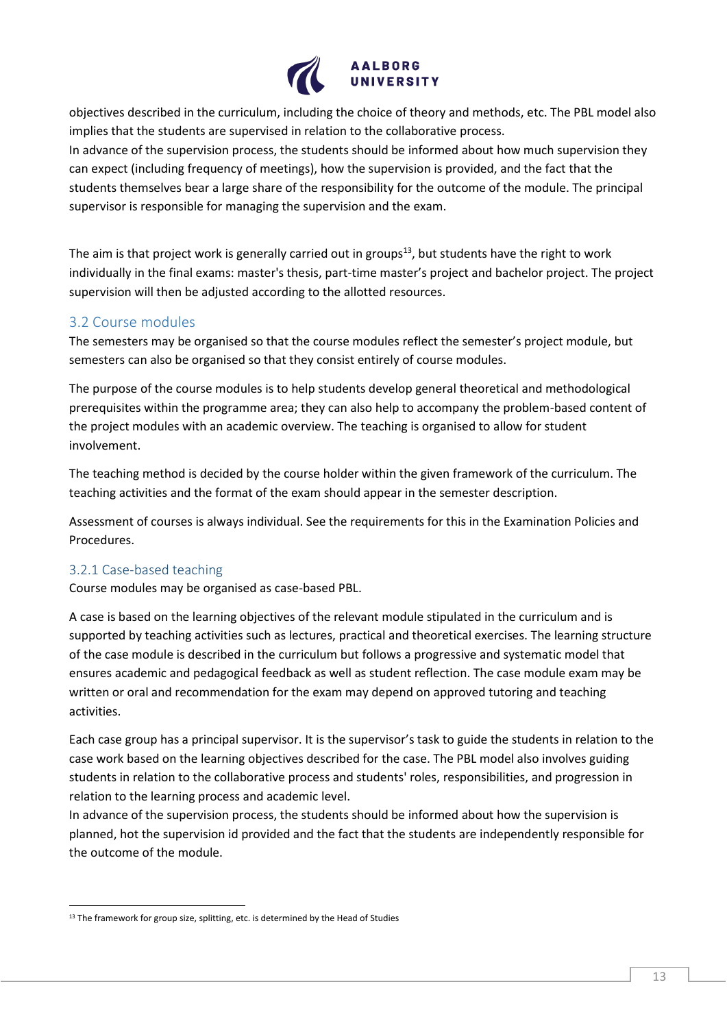

objectives described in the curriculum, including the choice of theory and methods, etc. The PBL model also implies that the students are supervised in relation to the collaborative process. In advance of the supervision process, the students should be informed about how much supervision they can expect (including frequency of meetings), how the supervision is provided, and the fact that the

students themselves bear a large share of the responsibility for the outcome of the module. The principal supervisor is responsible for managing the supervision and the exam.

The aim is that project work is generally carried out in groups<sup>13</sup>, but students have the right to work individually in the final exams: master's thesis, part-time master's project and bachelor project. The project supervision will then be adjusted according to the allotted resources.

#### <span id="page-12-0"></span>3.2 Course modules

The semesters may be organised so that the course modules reflect the semester's project module, but semesters can also be organised so that they consist entirely of course modules.

The purpose of the course modules is to help students develop general theoretical and methodological prerequisites within the programme area; they can also help to accompany the problem-based content of the project modules with an academic overview. The teaching is organised to allow for student involvement.

The teaching method is decided by the course holder within the given framework of the curriculum. The teaching activities and the format of the exam should appear in the semester description.

Assessment of courses is always individual. See the requirements for this in the Examination Policies and Procedures.

#### <span id="page-12-1"></span>3.2.1 Case-based teaching

Course modules may be organised as case-based PBL.

A case is based on the learning objectives of the relevant module stipulated in the curriculum and is supported by teaching activities such as lectures, practical and theoretical exercises. The learning structure of the case module is described in the curriculum but follows a progressive and systematic model that ensures academic and pedagogical feedback as well as student reflection. The case module exam may be written or oral and recommendation for the exam may depend on approved tutoring and teaching activities.

Each case group has a principal supervisor. It is the supervisor's task to guide the students in relation to the case work based on the learning objectives described for the case. The PBL model also involves guiding students in relation to the collaborative process and students' roles, responsibilities, and progression in relation to the learning process and academic level.

In advance of the supervision process, the students should be informed about how the supervision is planned, hot the supervision id provided and the fact that the students are independently responsible for the outcome of the module.

<sup>&</sup>lt;sup>13</sup> The framework for group size, splitting, etc. is determined by the Head of Studies